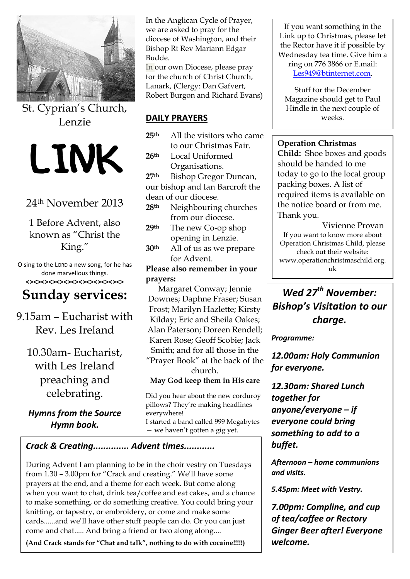

St. Cyprian's Church, Lenzie



### 24th November 2013

1 Before Advent, also known as "Christ the King."

O sing to the LORD a new song, for he has done marvellous things. **<><><><><><><><><><><><><>**

# **Sunday services:**

9.15am – Eucharist with Rev. Les Ireland

10.30am- Eucharist, with Les Ireland preaching and celebrating.

*Hymns from the Source Hymn book.*

In the Anglican Cycle of Prayer, we are asked to pray for the diocese of Washington, and their Bishop Rt Rev Mariann Edgar Budde.

In our own Diocese, please pray for the church of Christ Church, Lanark, (Clergy: Dan Gafvert, Robert Burgon and Richard Evans)

#### **DAILY PRAYERS**

- **25th** All the visitors who came to our Christmas Fair.
- **26th** Local Uniformed Organisations.

**27th** Bishop Gregor Duncan, our bishop and Ian Barcroft the dean of our diocese.

- **28th** Neighbouring churches from our diocese.
- **29th** The new Co-op shop opening in Lenzie.
- **30th** All of us as we prepare for Advent.

**Please also remember in your prayers:**

Margaret Conway; Jennie Downes; Daphne Fraser; Susan Frost; Marilyn Hazlette; Kirsty Kilday; Eric and Sheila Oakes; Alan Paterson; Doreen Rendell; Karen Rose; Geoff Scobie; Jack Smith; and for all those in the "Prayer Book" at the back of the

church.

**May God keep them in His care**

Did you hear about the new corduroy pillows? They're making headlines everywhere! I started a band called 999 Megabytes — we haven't gotten a gig yet.

### *Crack & Creating.............. Advent times............*

During Advent I am planning to be in the choir vestry on Tuesdays from 1.30 – 3.00pm for "Crack and creating." We'll have some prayers at the end, and a theme for each week. But come along when you want to chat, drink tea/coffee and eat cakes, and a chance to make something, or do something creative. You could bring your knitting, or tapestry, or embroidery, or come and make some cards......and we'll have other stuff people can do. Or you can just come and chat..... And bring a friend or two along along....

**(And Crack stands for "Chat and talk", nothing to do with cocaine!!!!!)** 

If you want something in the Link up to Christmas, please let the Rector have it if possible by Wednesday tea time. Give him a ring on 776 3866 or E.mail: [Les949@btinternet.com.](mailto:Les949@btinternet.com)

Stuff for the December Magazine should get to Paul Hindle in the next couple of weeks.

#### **Operation Christmas**

**Child:** Shoe boxes and goods should be handed to me today to go to the local group packing boxes. A list of required items is available on the notice board or from me. Thank you.

Vivienne Provan If you want to know more about Operation Christmas Child, please check out their website: www.operationchristmaschild.org. uk

## *Wed 27th November: Bishop's Visitation to our charge.*

*Programme:*

*12.00am: Holy Communion for everyone.*

*12.30am: Shared Lunch together for anyone/everyone – if everyone could bring something to add to a buffet.*

*Afternoon – home communions and visits.*

*5.45pm: Meet with Vestry.*

*7.00pm: Compline, and cup of tea/coffee or Rectory Ginger Beer after! Everyone welcome.*